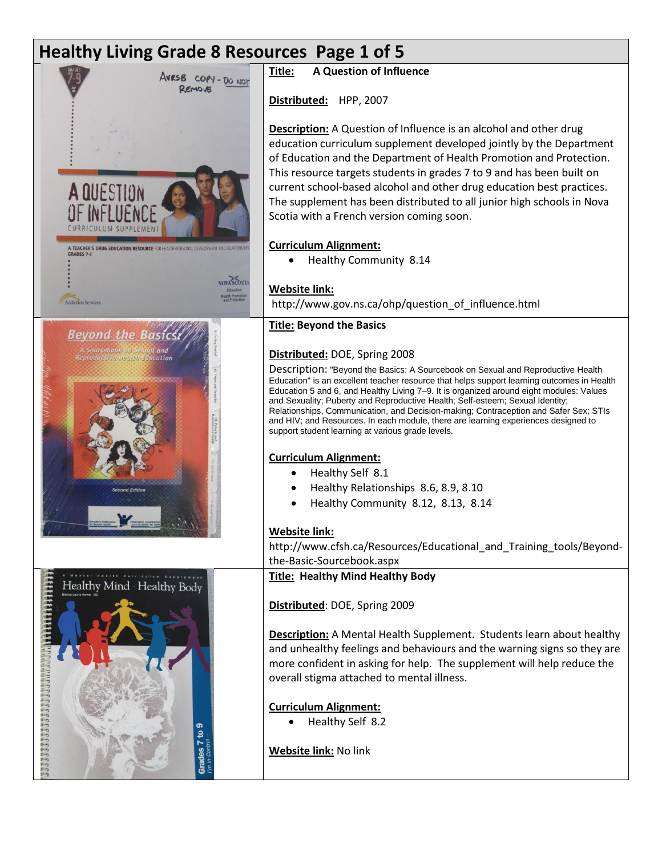# **Healthy Living Grade 8 Resources Page 1 of 5**





**Title: A Question of Influence**

**Distributed:** HPP, 2007

**Description:** A Question of Influence is an alcohol and other drug education curriculum supplement developed jointly by the Department of Education and the Department of Health Promotion and Protection. This resource targets students in grades 7 to 9 and has been built on current school-based alcohol and other drug education best practices. The supplement has been distributed to all junior high schools in Nova Scotia with a French version coming soon.

#### **Curriculum Alignment:**

• Healthy Community 8.14

## **Website link:**

http://www.gov.ns.ca/ohp/question\_of\_influence.html

## **Title: Beyond the Basics**

#### **Distributed:** DOE, Spring 2008

Description: "Beyond the Basics: A Sourcebook on Sexual and Reproductive Health Education" is an excellent teacher resource that helps support learning outcomes in Health Education 5 and 6, and Healthy Living 7–9. It is organized around eight modules: Values and Sexuality; Puberty and Reproductive Health; Self-esteem; Sexual Identity; Relationships, Communication, and Decision-making; Contraception and Safer Sex; STIs and HIV; and Resources. In each module, there are learning experiences designed to support student learning at various grade levels.

#### **Curriculum Alignment:**

- Healthy Self 8.1
- Healthy Relationships 8.6, 8.9, 8.10
- Healthy Community 8.12, 8.13, 8.14

# **Website link:**

http://www.cfsh.ca/Resources/Educational\_and\_Training\_tools/Beyondthe-Basic-Sourcebook.aspx

**Title: Healthy Mind Healthy Body**

**Distributed**: DOE, Spring 2009

**Description:** A Mental Health Supplement. Students learn about healthy and unhealthy feelings and behaviours and the warning signs so they are more confident in asking for help. The supplement will help reduce the overall stigma attached to mental illness.

# **Curriculum Alignment:**

Healthy Self 8.2

**Website link:** No link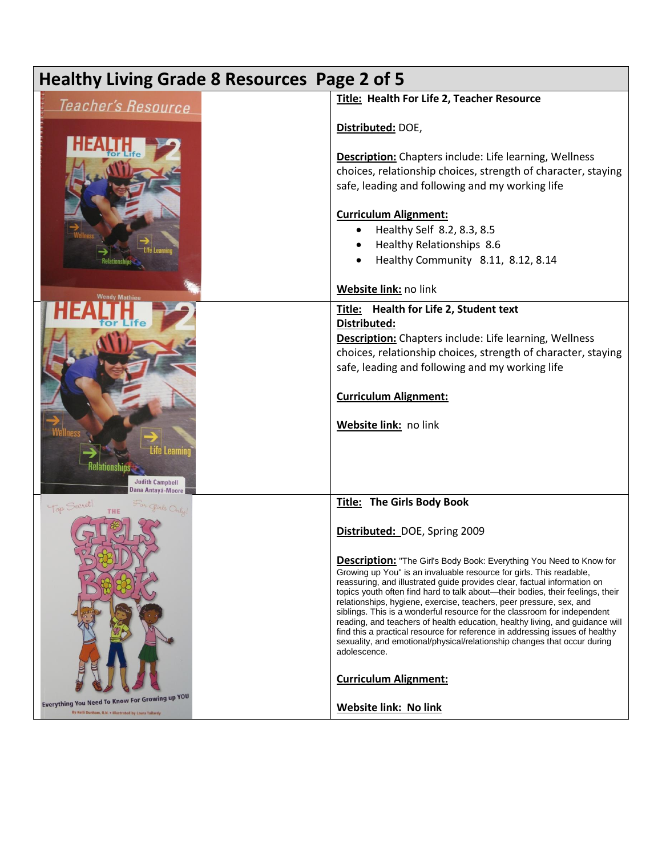| <b>Healthy Living Grade 8 Resources Page 2 of 5</b>                                                                                              |                                                                                                                                                                                                                                                                                                                                                                                                                                                                                                                                                                                                                                                                                                                                                                                                                                                               |
|--------------------------------------------------------------------------------------------------------------------------------------------------|---------------------------------------------------------------------------------------------------------------------------------------------------------------------------------------------------------------------------------------------------------------------------------------------------------------------------------------------------------------------------------------------------------------------------------------------------------------------------------------------------------------------------------------------------------------------------------------------------------------------------------------------------------------------------------------------------------------------------------------------------------------------------------------------------------------------------------------------------------------|
| Teacher's Resource                                                                                                                               | Title: Health For Life 2, Teacher Resource                                                                                                                                                                                                                                                                                                                                                                                                                                                                                                                                                                                                                                                                                                                                                                                                                    |
|                                                                                                                                                  | Distributed: DOE,                                                                                                                                                                                                                                                                                                                                                                                                                                                                                                                                                                                                                                                                                                                                                                                                                                             |
|                                                                                                                                                  | <b>Description:</b> Chapters include: Life learning, Wellness<br>choices, relationship choices, strength of character, staying<br>safe, leading and following and my working life<br><b>Curriculum Alignment:</b><br>Healthy Self 8.2, 8.3, 8.5<br>Healthy Relationships 8.6<br>Healthy Community 8.11, 8.12, 8.14                                                                                                                                                                                                                                                                                                                                                                                                                                                                                                                                            |
| <b>Nendy Mathieu</b>                                                                                                                             | Website link: no link                                                                                                                                                                                                                                                                                                                                                                                                                                                                                                                                                                                                                                                                                                                                                                                                                                         |
| <b>Judith Campbell</b><br>Dana Antayá-Moore                                                                                                      | Title: Health for Life 2, Student text<br>Distributed:<br><b>Description:</b> Chapters include: Life learning, Wellness<br>choices, relationship choices, strength of character, staying<br>safe, leading and following and my working life<br><b>Curriculum Alignment:</b><br>Website link: no link                                                                                                                                                                                                                                                                                                                                                                                                                                                                                                                                                          |
| Top Secret!<br>For girls Only!<br><b>Everything You Need To Know For Growing up YOU</b><br>By Kelli Dunham, R.N. . Illustrated by Laura Tallardy | Title: The Girls Body Book<br>Distributed: DOE, Spring 2009<br><b>Description:</b> "The Girl's Body Book: Everything You Need to Know for<br>Growing up You" is an invaluable resource for girls. This readable,<br>reassuring, and illustrated guide provides clear, factual information on<br>topics youth often find hard to talk about-their bodies, their feelings, their<br>relationships, hygiene, exercise, teachers, peer pressure, sex, and<br>siblings. This is a wonderful resource for the classroom for independent<br>reading, and teachers of health education, healthy living, and guidance will<br>find this a practical resource for reference in addressing issues of healthy<br>sexuality, and emotional/physical/relationship changes that occur during<br>adolescence.<br><b>Curriculum Alignment:</b><br><b>Website link: No link</b> |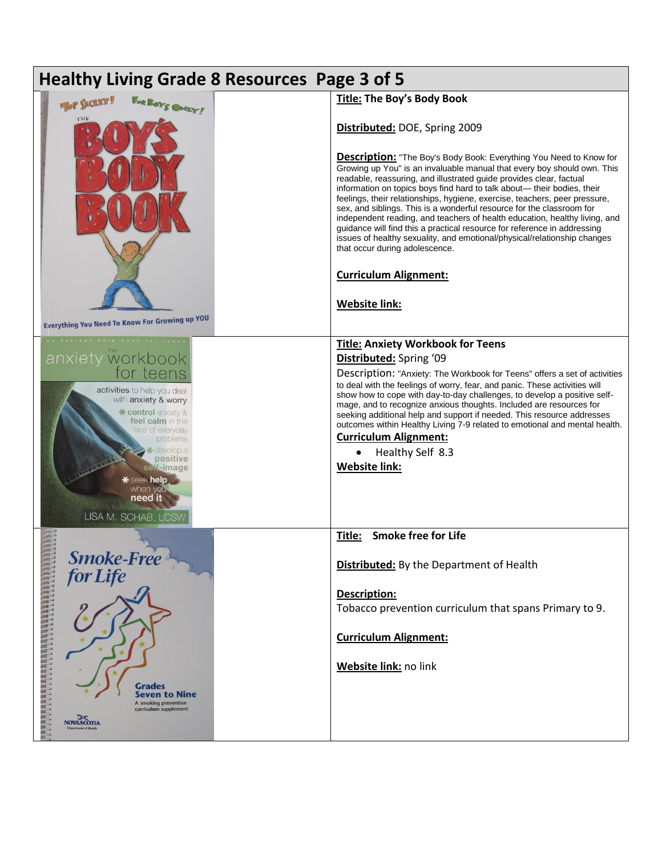| <b>Healthy Living Grade 8 Resources Page 3 of 5</b>                                                                             |                                                                                                                                                                                                                                                                                                                                                                                                                                                                                                                                                                                                                                                          |  |
|---------------------------------------------------------------------------------------------------------------------------------|----------------------------------------------------------------------------------------------------------------------------------------------------------------------------------------------------------------------------------------------------------------------------------------------------------------------------------------------------------------------------------------------------------------------------------------------------------------------------------------------------------------------------------------------------------------------------------------------------------------------------------------------------------|--|
| FOR BOYS OMEY!<br><b>TOP SECRET!</b>                                                                                            | Title: The Boy's Body Book                                                                                                                                                                                                                                                                                                                                                                                                                                                                                                                                                                                                                               |  |
| THE                                                                                                                             | Distributed: DOE, Spring 2009<br><b>Description:</b> "The Boy's Body Book: Everything You Need to Know for                                                                                                                                                                                                                                                                                                                                                                                                                                                                                                                                               |  |
|                                                                                                                                 | Growing up You" is an invaluable manual that every boy should own. This<br>readable, reassuring, and illustrated guide provides clear, factual<br>information on topics boys find hard to talk about— their bodies, their<br>feelings, their relationships, hygiene, exercise, teachers, peer pressure,<br>sex, and siblings. This is a wonderful resource for the classroom for<br>independent reading, and teachers of health education, healthy living, and<br>guidance will find this a practical resource for reference in addressing<br>issues of healthy sexuality, and emotional/physical/relationship changes<br>that occur during adolescence. |  |
|                                                                                                                                 | <b>Curriculum Alignment:</b>                                                                                                                                                                                                                                                                                                                                                                                                                                                                                                                                                                                                                             |  |
|                                                                                                                                 | <b>Website link:</b>                                                                                                                                                                                                                                                                                                                                                                                                                                                                                                                                                                                                                                     |  |
| <b>Everything You Need To Know For Growing up YOU</b>                                                                           |                                                                                                                                                                                                                                                                                                                                                                                                                                                                                                                                                                                                                                                          |  |
| anxiety workbook                                                                                                                | <b>Title: Anxiety Workbook for Teens</b><br>Distributed: Spring '09                                                                                                                                                                                                                                                                                                                                                                                                                                                                                                                                                                                      |  |
| for teens<br>activities to help you deal<br>with anxiety & worry<br>* control anxiety &<br>feel calm in the<br>face of everyday | Description: "Anxiety: The Workbook for Teens" offers a set of activities<br>to deal with the feelings of worry, fear, and panic. These activities will<br>show how to cope with day-to-day challenges, to develop a positive self-<br>mage, and to recognize anxious thoughts. Included are resources for<br>seeking additional help and support if needed. This resource addresses<br>outcomes within Healthy Living 7-9 related to emotional and mental health.                                                                                                                                                                                       |  |
| problems                                                                                                                        | <b>Curriculum Alignment:</b>                                                                                                                                                                                                                                                                                                                                                                                                                                                                                                                                                                                                                             |  |
| positive<br>self-image<br>seek help<br>when you<br>need it<br>LISA M. SCHAB, LCSW                                               | Healthy Self 8.3<br>$\bullet$<br><b>Website link:</b>                                                                                                                                                                                                                                                                                                                                                                                                                                                                                                                                                                                                    |  |
|                                                                                                                                 | <b>Smoke free for Life</b><br>Title:                                                                                                                                                                                                                                                                                                                                                                                                                                                                                                                                                                                                                     |  |
| Smoke-Free<br>for Life                                                                                                          | <b>Distributed:</b> By the Department of Health                                                                                                                                                                                                                                                                                                                                                                                                                                                                                                                                                                                                          |  |
|                                                                                                                                 | <b>Description:</b>                                                                                                                                                                                                                                                                                                                                                                                                                                                                                                                                                                                                                                      |  |
|                                                                                                                                 | Tobacco prevention curriculum that spans Primary to 9.                                                                                                                                                                                                                                                                                                                                                                                                                                                                                                                                                                                                   |  |
| <b>A RANDA DE PERSONAL DE LA PARA DE LA PARA DE LA PARA DE LA PARA DE LA PARA DE LA PARA DE LA PARA DE LA PARA DE</b>           | <b>Curriculum Alignment:</b>                                                                                                                                                                                                                                                                                                                                                                                                                                                                                                                                                                                                                             |  |
| <b>Grades</b><br>Seven to Nine<br>A smoking prevention<br>curriculum supplement                                                 | Website link: no link                                                                                                                                                                                                                                                                                                                                                                                                                                                                                                                                                                                                                                    |  |
| <b>NOVA SCOTTA</b>                                                                                                              |                                                                                                                                                                                                                                                                                                                                                                                                                                                                                                                                                                                                                                                          |  |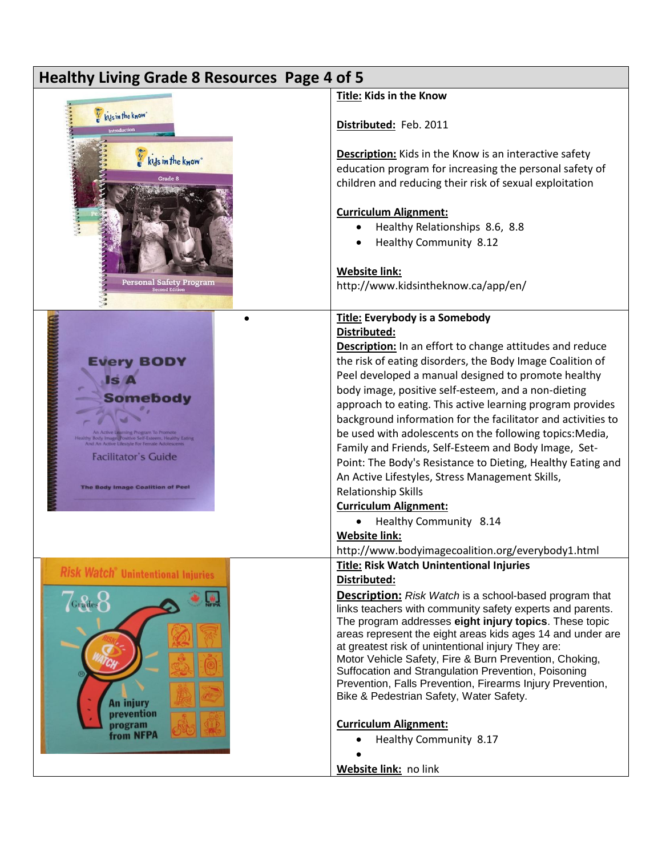| Healthy Living Grade 8 Resources Page 4 of 5                                                                                                                      |                                                                                                                                                                                                                                                                                                                                                                                                                                                                                                                                                                                                                                                                                                                                                                                                                                           |
|-------------------------------------------------------------------------------------------------------------------------------------------------------------------|-------------------------------------------------------------------------------------------------------------------------------------------------------------------------------------------------------------------------------------------------------------------------------------------------------------------------------------------------------------------------------------------------------------------------------------------------------------------------------------------------------------------------------------------------------------------------------------------------------------------------------------------------------------------------------------------------------------------------------------------------------------------------------------------------------------------------------------------|
|                                                                                                                                                                   | Title: Kids in the Know                                                                                                                                                                                                                                                                                                                                                                                                                                                                                                                                                                                                                                                                                                                                                                                                                   |
| kils in the know<br>Introduction                                                                                                                                  | Distributed: Feb. 2011                                                                                                                                                                                                                                                                                                                                                                                                                                                                                                                                                                                                                                                                                                                                                                                                                    |
| kys in the know<br>Grade 8<br><b>Personal Safety Program</b><br><sub>Second Edition</sub>                                                                         | <b>Description:</b> Kids in the Know is an interactive safety<br>education program for increasing the personal safety of<br>children and reducing their risk of sexual exploitation<br><b>Curriculum Alignment:</b><br>Healthy Relationships 8.6, 8.8<br>Healthy Community 8.12<br><b>Website link:</b><br>http://www.kidsintheknow.ca/app/en/                                                                                                                                                                                                                                                                                                                                                                                                                                                                                            |
| <b>Every BODY</b><br>ISI<br><b>Somebody</b><br>ly Image Positive Self-Esteem, Healthy Ea<br><b>Facilitator's Guide</b><br><b>The Body Image Coalition of Peel</b> | <b>Title: Everybody is a Somebody</b><br>Distributed:<br><b>Description:</b> In an effort to change attitudes and reduce<br>the risk of eating disorders, the Body Image Coalition of<br>Peel developed a manual designed to promote healthy<br>body image, positive self-esteem, and a non-dieting<br>approach to eating. This active learning program provides<br>background information for the facilitator and activities to<br>be used with adolescents on the following topics: Media,<br>Family and Friends, Self-Esteem and Body Image, Set-<br>Point: The Body's Resistance to Dieting, Healthy Eating and<br>An Active Lifestyles, Stress Management Skills,<br>Relationship Skills<br><b>Curriculum Alignment:</b><br>Healthy Community 8.14<br>٠<br><b>Website link:</b><br>http://www.bodyimagecoalition.org/everybody1.html |
| <b>Risk Watch</b> <sup>®</sup> Unintentional Injuries<br>$\sqrt{\rm G_{rad}}$<br><b>An injury</b><br>prevention<br>program<br>from NFPA                           | Title: Risk Watch Unintentional Injuries<br>Distributed:<br><b>Description:</b> Risk Watch is a school-based program that<br>links teachers with community safety experts and parents.<br>The program addresses eight injury topics. These topic<br>areas represent the eight areas kids ages 14 and under are<br>at greatest risk of unintentional injury They are:<br>Motor Vehicle Safety, Fire & Burn Prevention, Choking,<br>Suffocation and Strangulation Prevention, Poisoning<br>Prevention, Falls Prevention, Firearms Injury Prevention,<br>Bike & Pedestrian Safety, Water Safety.<br><b>Curriculum Alignment:</b><br>Healthy Community 8.17<br>Website link: no link                                                                                                                                                          |